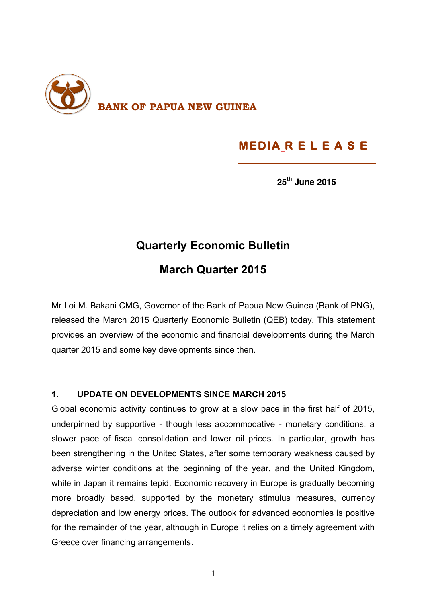

# **MEDIA R E L E A S E**

**25th June 2015**

### **Quarterly Economic Bulletin**

# **March Quarter 2015**

Mr Loi M. Bakani CMG, Governor of the Bank of Papua New Guinea (Bank of PNG), released the March 2015 Quarterly Economic Bulletin (QEB) today. This statement provides an overview of the economic and financial developments during the March quarter 2015 and some key developments since then.

#### **1. UPDATE ON DEVELOPMENTS SINCE MARCH 2015**

Global economic activity continues to grow at a slow pace in the first half of 2015, underpinned by supportive - though less accommodative - monetary conditions, a slower pace of fiscal consolidation and lower oil prices. In particular, growth has been strengthening in the United States, after some temporary weakness caused by adverse winter conditions at the beginning of the year, and the United Kingdom, while in Japan it remains tepid. Economic recovery in Europe is gradually becoming more broadly based, supported by the monetary stimulus measures, currency depreciation and low energy prices. The outlook for advanced economies is positive for the remainder of the year, although in Europe it relies on a timely agreement with Greece over financing arrangements.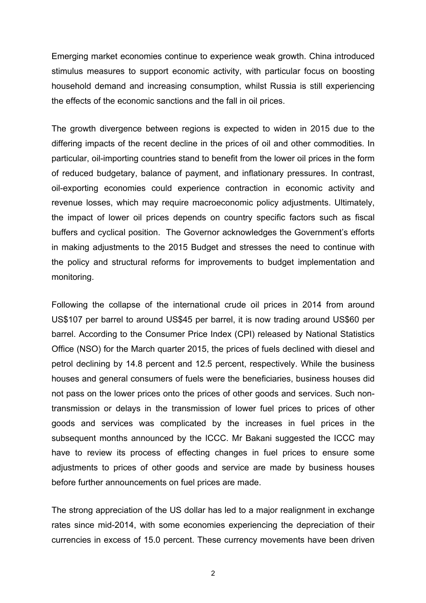Emerging market economies continue to experience weak growth. China introduced stimulus measures to support economic activity, with particular focus on boosting household demand and increasing consumption, whilst Russia is still experiencing the effects of the economic sanctions and the fall in oil prices.

The growth divergence between regions is expected to widen in 2015 due to the differing impacts of the recent decline in the prices of oil and other commodities. In particular, oil-importing countries stand to benefit from the lower oil prices in the form of reduced budgetary, balance of payment, and inflationary pressures. In contrast, oil-exporting economies could experience contraction in economic activity and revenue losses, which may require macroeconomic policy adjustments. Ultimately, the impact of lower oil prices depends on country specific factors such as fiscal buffers and cyclical position. The Governor acknowledges the Government's efforts in making adjustments to the 2015 Budget and stresses the need to continue with the policy and structural reforms for improvements to budget implementation and monitoring.

Following the collapse of the international crude oil prices in 2014 from around US\$107 per barrel to around US\$45 per barrel, it is now trading around US\$60 per barrel. According to the Consumer Price Index (CPI) released by National Statistics Office (NSO) for the March quarter 2015, the prices of fuels declined with diesel and petrol declining by 14.8 percent and 12.5 percent, respectively. While the business houses and general consumers of fuels were the beneficiaries, business houses did not pass on the lower prices onto the prices of other goods and services. Such nontransmission or delays in the transmission of lower fuel prices to prices of other goods and services was complicated by the increases in fuel prices in the subsequent months announced by the ICCC. Mr Bakani suggested the ICCC may have to review its process of effecting changes in fuel prices to ensure some adjustments to prices of other goods and service are made by business houses before further announcements on fuel prices are made.

The strong appreciation of the US dollar has led to a major realignment in exchange rates since mid-2014, with some economies experiencing the depreciation of their currencies in excess of 15.0 percent. These currency movements have been driven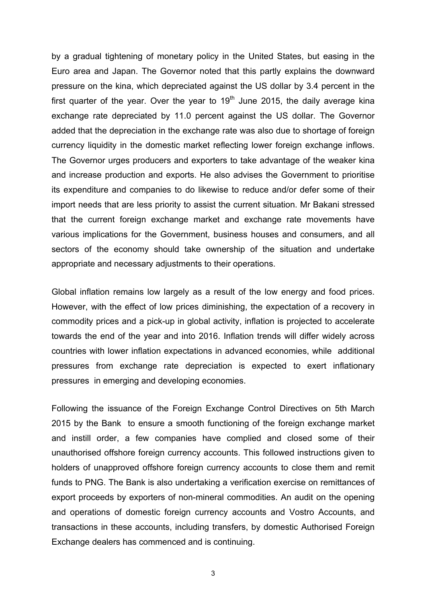by a gradual tightening of monetary policy in the United States, but easing in the Euro area and Japan. The Governor noted that this partly explains the downward pressure on the kina, which depreciated against the US dollar by 3.4 percent in the first quarter of the year. Over the year to  $19<sup>th</sup>$  June 2015, the daily average kina exchange rate depreciated by 11.0 percent against the US dollar. The Governor added that the depreciation in the exchange rate was also due to shortage of foreign currency liquidity in the domestic market reflecting lower foreign exchange inflows. The Governor urges producers and exporters to take advantage of the weaker kina and increase production and exports. He also advises the Government to prioritise its expenditure and companies to do likewise to reduce and/or defer some of their import needs that are less priority to assist the current situation. Mr Bakani stressed that the current foreign exchange market and exchange rate movements have various implications for the Government, business houses and consumers, and all sectors of the economy should take ownership of the situation and undertake appropriate and necessary adjustments to their operations.

Global inflation remains low largely as a result of the low energy and food prices. However, with the effect of low prices diminishing, the expectation of a recovery in commodity prices and a pick-up in global activity, inflation is projected to accelerate towards the end of the year and into 2016. Inflation trends will differ widely across countries with lower inflation expectations in advanced economies, while additional pressures from exchange rate depreciation is expected to exert inflationary pressures in emerging and developing economies.

Following the issuance of the Foreign Exchange Control Directives on 5th March 2015 by the Bank to ensure a smooth functioning of the foreign exchange market and instill order, a few companies have complied and closed some of their unauthorised offshore foreign currency accounts. This followed instructions given to holders of unapproved offshore foreign currency accounts to close them and remit funds to PNG. The Bank is also undertaking a verification exercise on remittances of export proceeds by exporters of non-mineral commodities. An audit on the opening and operations of domestic foreign currency accounts and Vostro Accounts, and transactions in these accounts, including transfers, by domestic Authorised Foreign Exchange dealers has commenced and is continuing.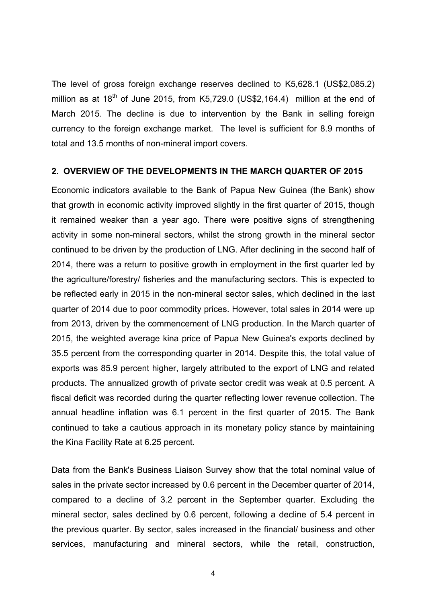The level of gross foreign exchange reserves declined to K5,628.1 (US\$2,085.2) million as at  $18^{th}$  of June 2015, from K5,729.0 (US\$2,164.4) million at the end of March 2015. The decline is due to intervention by the Bank in selling foreign currency to the foreign exchange market. The level is sufficient for 8.9 months of total and 13.5 months of non-mineral import covers.

#### **2. OVERVIEW OF THE DEVELOPMENTS IN THE MARCH QUARTER OF 2015**

Economic indicators available to the Bank of Papua New Guinea (the Bank) show that growth in economic activity improved slightly in the first quarter of 2015, though it remained weaker than a year ago. There were positive signs of strengthening activity in some non-mineral sectors, whilst the strong growth in the mineral sector continued to be driven by the production of LNG. After declining in the second half of 2014, there was a return to positive growth in employment in the first quarter led by the agriculture/forestry/ fisheries and the manufacturing sectors. This is expected to be reflected early in 2015 in the non-mineral sector sales, which declined in the last quarter of 2014 due to poor commodity prices. However, total sales in 2014 were up from 2013, driven by the commencement of LNG production. In the March quarter of 2015, the weighted average kina price of Papua New Guinea's exports declined by 35.5 percent from the corresponding quarter in 2014. Despite this, the total value of exports was 85.9 percent higher, largely attributed to the export of LNG and related products. The annualized growth of private sector credit was weak at 0.5 percent. A fiscal deficit was recorded during the quarter reflecting lower revenue collection. The annual headline inflation was 6.1 percent in the first quarter of 2015. The Bank continued to take a cautious approach in its monetary policy stance by maintaining the Kina Facility Rate at 6.25 percent.

Data from the Bank's Business Liaison Survey show that the total nominal value of sales in the private sector increased by 0.6 percent in the December quarter of 2014, compared to a decline of 3.2 percent in the September quarter. Excluding the mineral sector, sales declined by 0.6 percent, following a decline of 5.4 percent in the previous quarter. By sector, sales increased in the financial/ business and other services, manufacturing and mineral sectors, while the retail, construction,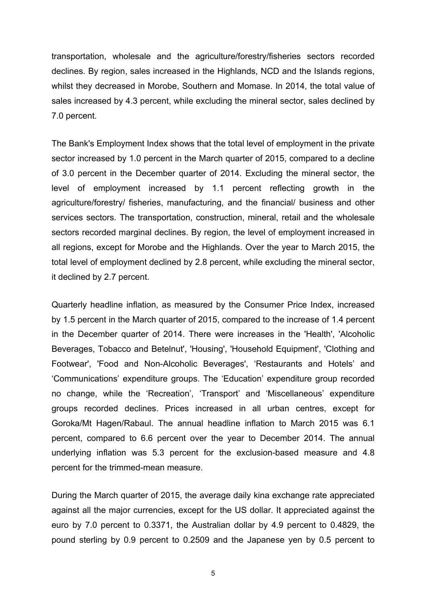transportation, wholesale and the agriculture/forestry/fisheries sectors recorded declines. By region, sales increased in the Highlands, NCD and the Islands regions, whilst they decreased in Morobe, Southern and Momase. In 2014, the total value of sales increased by 4.3 percent, while excluding the mineral sector, sales declined by 7.0 percent.

The Bank's Employment Index shows that the total level of employment in the private sector increased by 1.0 percent in the March quarter of 2015, compared to a decline of 3.0 percent in the December quarter of 2014. Excluding the mineral sector, the level of employment increased by 1.1 percent reflecting growth in the agriculture/forestry/ fisheries, manufacturing, and the financial/ business and other services sectors. The transportation, construction, mineral, retail and the wholesale sectors recorded marginal declines. By region, the level of employment increased in all regions, except for Morobe and the Highlands. Over the year to March 2015, the total level of employment declined by 2.8 percent, while excluding the mineral sector, it declined by 2.7 percent.

Quarterly headline inflation, as measured by the Consumer Price Index, increased by 1.5 percent in the March quarter of 2015, compared to the increase of 1.4 percent in the December quarter of 2014. There were increases in the 'Health', 'Alcoholic Beverages, Tobacco and Betelnut', 'Housing', 'Household Equipment', 'Clothing and Footwear', 'Food and Non-Alcoholic Beverages', 'Restaurants and Hotels' and 'Communications' expenditure groups. The 'Education' expenditure group recorded no change, while the 'Recreation', 'Transport' and 'Miscellaneous' expenditure groups recorded declines. Prices increased in all urban centres, except for Goroka/Mt Hagen/Rabaul. The annual headline inflation to March 2015 was 6.1 percent, compared to 6.6 percent over the year to December 2014. The annual underlying inflation was 5.3 percent for the exclusion-based measure and 4.8 percent for the trimmed-mean measure.

During the March quarter of 2015, the average daily kina exchange rate appreciated against all the major currencies, except for the US dollar. It appreciated against the euro by 7.0 percent to 0.3371, the Australian dollar by 4.9 percent to 0.4829, the pound sterling by 0.9 percent to 0.2509 and the Japanese yen by 0.5 percent to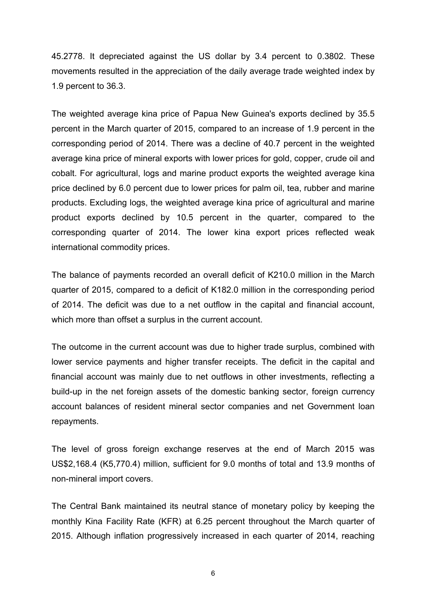45.2778. It depreciated against the US dollar by 3.4 percent to 0.3802. These movements resulted in the appreciation of the daily average trade weighted index by 1.9 percent to 36.3.

The weighted average kina price of Papua New Guinea's exports declined by 35.5 percent in the March quarter of 2015, compared to an increase of 1.9 percent in the corresponding period of 2014. There was a decline of 40.7 percent in the weighted average kina price of mineral exports with lower prices for gold, copper, crude oil and cobalt. For agricultural, logs and marine product exports the weighted average kina price declined by 6.0 percent due to lower prices for palm oil, tea, rubber and marine products. Excluding logs, the weighted average kina price of agricultural and marine product exports declined by 10.5 percent in the quarter, compared to the corresponding quarter of 2014. The lower kina export prices reflected weak international commodity prices.

The balance of payments recorded an overall deficit of K210.0 million in the March quarter of 2015, compared to a deficit of K182.0 million in the corresponding period of 2014. The deficit was due to a net outflow in the capital and financial account, which more than offset a surplus in the current account.

The outcome in the current account was due to higher trade surplus, combined with lower service payments and higher transfer receipts. The deficit in the capital and financial account was mainly due to net outflows in other investments, reflecting a build-up in the net foreign assets of the domestic banking sector, foreign currency account balances of resident mineral sector companies and net Government loan repayments.

The level of gross foreign exchange reserves at the end of March 2015 was US\$2,168.4 (K5,770.4) million, sufficient for 9.0 months of total and 13.9 months of non-mineral import covers.

The Central Bank maintained its neutral stance of monetary policy by keeping the monthly Kina Facility Rate (KFR) at 6.25 percent throughout the March quarter of 2015. Although inflation progressively increased in each quarter of 2014, reaching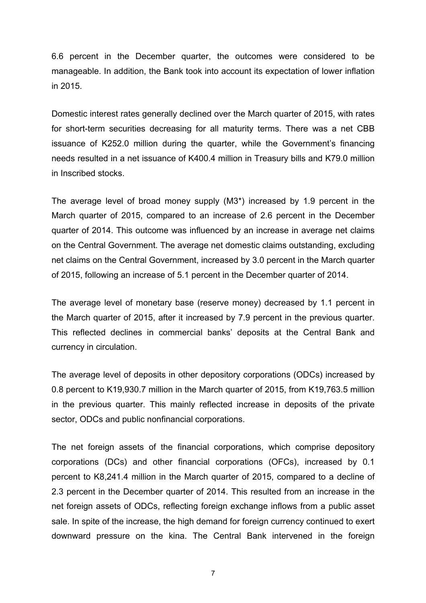6.6 percent in the December quarter, the outcomes were considered to be manageable. In addition, the Bank took into account its expectation of lower inflation in 2015.

Domestic interest rates generally declined over the March quarter of 2015, with rates for short-term securities decreasing for all maturity terms. There was a net CBB issuance of K252.0 million during the quarter, while the Government's financing needs resulted in a net issuance of K400.4 million in Treasury bills and K79.0 million in Inscribed stocks.

The average level of broad money supply (M3\*) increased by 1.9 percent in the March quarter of 2015, compared to an increase of 2.6 percent in the December quarter of 2014. This outcome was influenced by an increase in average net claims on the Central Government. The average net domestic claims outstanding, excluding net claims on the Central Government, increased by 3.0 percent in the March quarter of 2015, following an increase of 5.1 percent in the December quarter of 2014.

The average level of monetary base (reserve money) decreased by 1.1 percent in the March quarter of 2015, after it increased by 7.9 percent in the previous quarter. This reflected declines in commercial banks' deposits at the Central Bank and currency in circulation.

The average level of deposits in other depository corporations (ODCs) increased by 0.8 percent to K19,930.7 million in the March quarter of 2015, from K19,763.5 million in the previous quarter. This mainly reflected increase in deposits of the private sector, ODCs and public nonfinancial corporations.

The net foreign assets of the financial corporations, which comprise depository corporations (DCs) and other financial corporations (OFCs), increased by 0.1 percent to K8,241.4 million in the March quarter of 2015, compared to a decline of 2.3 percent in the December quarter of 2014. This resulted from an increase in the net foreign assets of ODCs, reflecting foreign exchange inflows from a public asset sale. In spite of the increase, the high demand for foreign currency continued to exert downward pressure on the kina. The Central Bank intervened in the foreign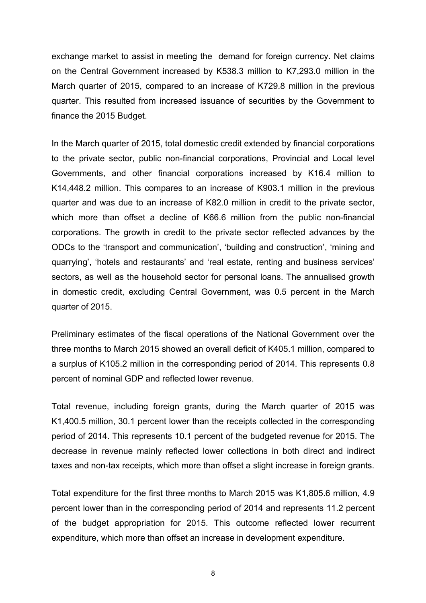exchange market to assist in meeting the demand for foreign currency. Net claims on the Central Government increased by K538.3 million to K7,293.0 million in the March quarter of 2015, compared to an increase of K729.8 million in the previous quarter. This resulted from increased issuance of securities by the Government to finance the 2015 Budget.

In the March quarter of 2015, total domestic credit extended by financial corporations to the private sector, public non-financial corporations, Provincial and Local level Governments, and other financial corporations increased by K16.4 million to K14,448.2 million. This compares to an increase of K903.1 million in the previous quarter and was due to an increase of K82.0 million in credit to the private sector, which more than offset a decline of K66.6 million from the public non-financial corporations. The growth in credit to the private sector reflected advances by the ODCs to the 'transport and communication', 'building and construction', 'mining and quarrying', 'hotels and restaurants' and 'real estate, renting and business services' sectors, as well as the household sector for personal loans. The annualised growth in domestic credit, excluding Central Government, was 0.5 percent in the March quarter of 2015.

Preliminary estimates of the fiscal operations of the National Government over the three months to March 2015 showed an overall deficit of K405.1 million, compared to a surplus of K105.2 million in the corresponding period of 2014. This represents 0.8 percent of nominal GDP and reflected lower revenue.

Total revenue, including foreign grants, during the March quarter of 2015 was K1,400.5 million, 30.1 percent lower than the receipts collected in the corresponding period of 2014. This represents 10.1 percent of the budgeted revenue for 2015. The decrease in revenue mainly reflected lower collections in both direct and indirect taxes and non-tax receipts, which more than offset a slight increase in foreign grants.

Total expenditure for the first three months to March 2015 was K1,805.6 million, 4.9 percent lower than in the corresponding period of 2014 and represents 11.2 percent of the budget appropriation for 2015. This outcome reflected lower recurrent expenditure, which more than offset an increase in development expenditure.